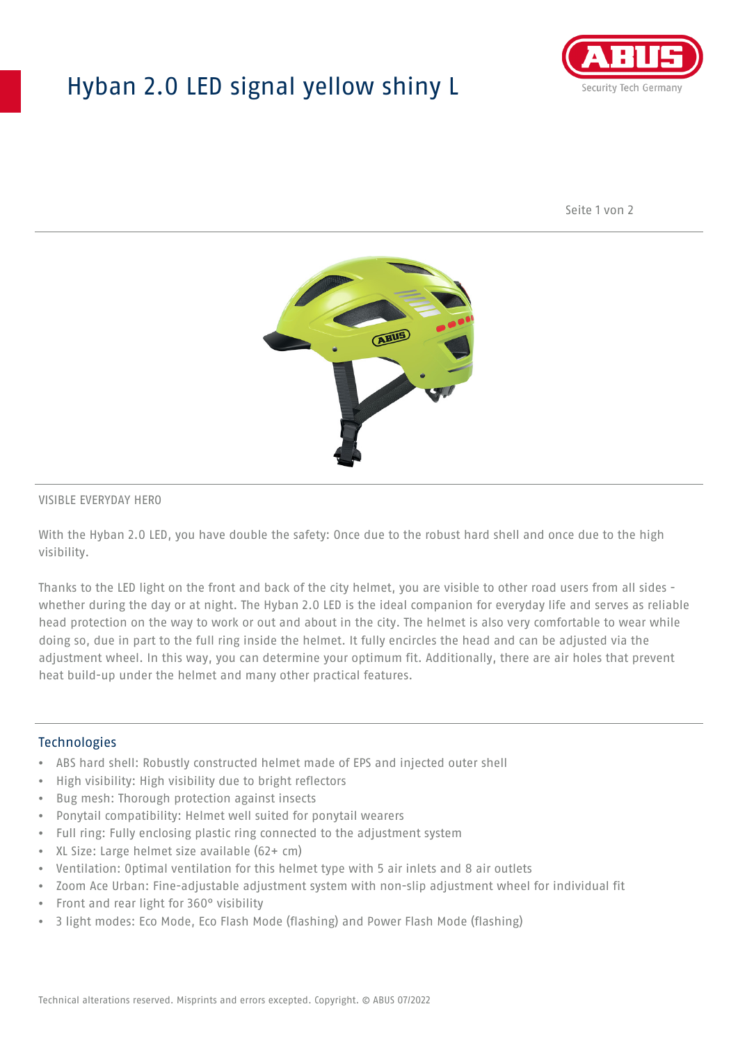## Hyban 2.0 LED signal yellow shiny L



Seite 1 von 2



#### VISIBLE EVERYDAY HERO

With the Hyban 2.0 LED, you have double the safety: Once due to the robust hard shell and once due to the high visibility.

Thanks to the LED light on the front and back of the city helmet, you are visible to other road users from all sides whether during the day or at night. The Hyban 2.0 LED is the ideal companion for everyday life and serves as reliable head protection on the way to work or out and about in the city. The helmet is also very comfortable to wear while doing so, due in part to the full ring inside the helmet. It fully encircles the head and can be adjusted via the adjustment wheel. In this way, you can determine your optimum fit. Additionally, there are air holes that prevent heat build-up under the helmet and many other practical features.

#### Technologies

- ABS hard shell: Robustly constructed helmet made of EPS and injected outer shell
- High visibility: High visibility due to bright reflectors
- Bug mesh: Thorough protection against insects
- Ponytail compatibility: Helmet well suited for ponytail wearers
- Full ring: Fully enclosing plastic ring connected to the adjustment system
- XL Size: Large helmet size available (62+ cm)
- Ventilation: Optimal ventilation for this helmet type with 5 air inlets and 8 air outlets
- Zoom Ace Urban: Fine-adjustable adjustment system with non-slip adjustment wheel for individual fit
- Front and rear light for 360° visibility
- 3 light modes: Eco Mode, Eco Flash Mode (flashing) and Power Flash Mode (flashing)